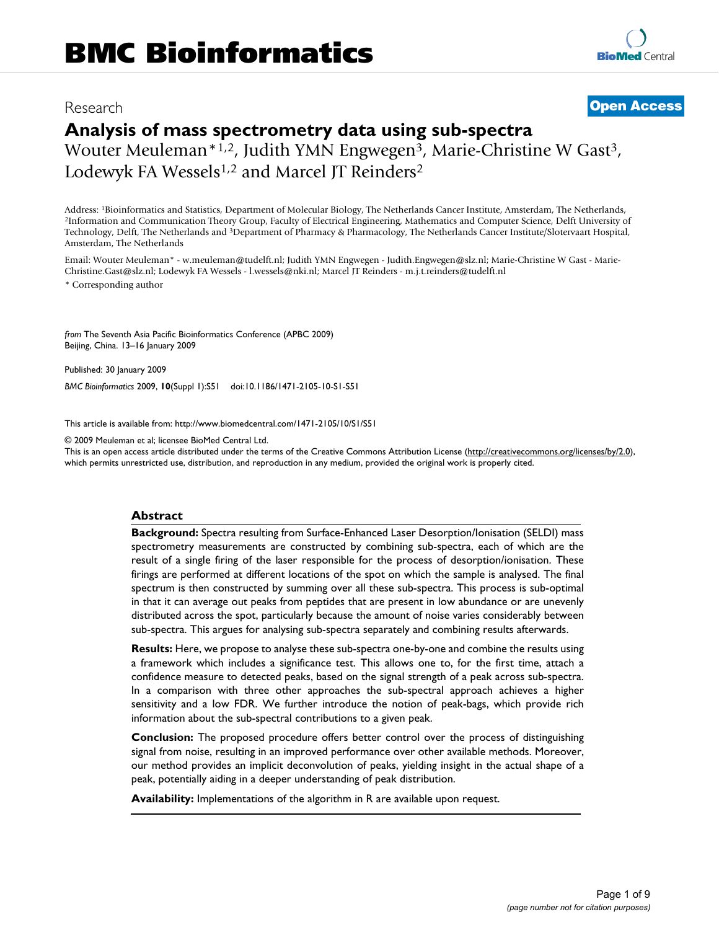# Research **[Open Access](http://www.biomedcentral.com/info/about/charter/)**

# **Analysis of mass spectrometry data using sub-spectra** Wouter Meuleman\*1,2, Judith YMN Engwegen<sup>3</sup>, Marie-Christine W Gast<sup>3</sup>, Lodewyk FA Wessels<sup>1,2</sup> and Marcel JT Reinders<sup>2</sup>

Address: <sup>1</sup>Bioinformatics and Statistics, Department of Molecular Biology, The Netherlands Cancer Institute, Amsterdam, The Netherlands, <sup>2</sup>Information and Communication Theory Group, Faculty of Electrical Engineering, Ma Technology, Delft, The Netherlands and 3Department of Pharmacy & Pharmacology, The Netherlands Cancer Institute/Slotervaart Hospital, Amsterdam, The Netherlands

Email: Wouter Meuleman\* - w.meuleman@tudelft.nl; Judith YMN Engwegen - Judith.Engwegen@slz.nl; Marie-Christine W Gast - Marie-Christine.Gast@slz.nl; Lodewyk FA Wessels - l.wessels@nki.nl; Marcel JT Reinders - m.j.t.reinders@tudelft.nl

\* Corresponding author

*from* The Seventh Asia Pacific Bioinformatics Conference (APBC 2009) Beijing, China. 13–16 January 2009

Published: 30 January 2009

*BMC Bioinformatics* 2009, **10**(Suppl 1):S51 doi:10.1186/1471-2105-10-S1-S51

[This article is available from: http://www.biomedcentral.com/1471-2105/10/S1/S51](http://www.biomedcentral.com/1471-2105/10/S1/S51)

© 2009 Meuleman et al; licensee BioMed Central Ltd.

This is an open access article distributed under the terms of the Creative Commons Attribution License [\(http://creativecommons.org/licenses/by/2.0\)](http://creativecommons.org/licenses/by/2.0), which permits unrestricted use, distribution, and reproduction in any medium, provided the original work is properly cited.

#### **Abstract**

**Background:** Spectra resulting from Surface-Enhanced Laser Desorption/Ionisation (SELDI) mass spectrometry measurements are constructed by combining sub-spectra, each of which are the result of a single firing of the laser responsible for the process of desorption/ionisation. These firings are performed at different locations of the spot on which the sample is analysed. The final spectrum is then constructed by summing over all these sub-spectra. This process is sub-optimal in that it can average out peaks from peptides that are present in low abundance or are unevenly distributed across the spot, particularly because the amount of noise varies considerably between sub-spectra. This argues for analysing sub-spectra separately and combining results afterwards.

**Results:** Here, we propose to analyse these sub-spectra one-by-one and combine the results using a framework which includes a significance test. This allows one to, for the first time, attach a confidence measure to detected peaks, based on the signal strength of a peak across sub-spectra. In a comparison with three other approaches the sub-spectral approach achieves a higher sensitivity and a low FDR. We further introduce the notion of peak-bags, which provide rich information about the sub-spectral contributions to a given peak.

**Conclusion:** The proposed procedure offers better control over the process of distinguishing signal from noise, resulting in an improved performance over other available methods. Moreover, our method provides an implicit deconvolution of peaks, yielding insight in the actual shape of a peak, potentially aiding in a deeper understanding of peak distribution.

**Availability:** Implementations of the algorithm in R are available upon request.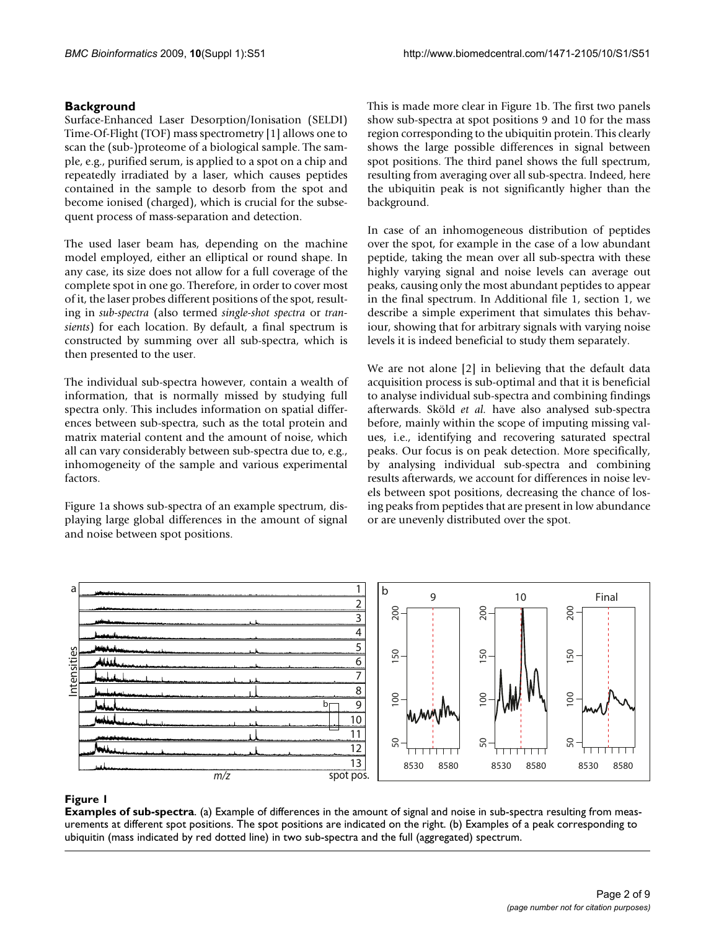# **Background**

Surface-Enhanced Laser Desorption/Ionisation (SELDI) Time-Of-Flight (TOF) mass spectrometry [1] allows one to scan the (sub-)proteome of a biological sample. The sample, e.g., purified serum, is applied to a spot on a chip and repeatedly irradiated by a laser, which causes peptides contained in the sample to desorb from the spot and become ionised (charged), which is crucial for the subsequent process of mass-separation and detection.

The used laser beam has, depending on the machine model employed, either an elliptical or round shape. In any case, its size does not allow for a full coverage of the complete spot in one go. Therefore, in order to cover most of it, the laser probes different positions of the spot, resulting in *sub-spectra* (also termed *single-shot spectra* or *transients*) for each location. By default, a final spectrum is constructed by summing over all sub-spectra, which is then presented to the user.

The individual sub-spectra however, contain a wealth of information, that is normally missed by studying full spectra only. This includes information on spatial differences between sub-spectra, such as the total protein and matrix material content and the amount of noise, which all can vary considerably between sub-spectra due to, e.g., inhomogeneity of the sample and various experimental factors.

Figure 1a shows sub-spectra of an example spectrum, displaying large global differences in the amount of signal and noise between spot positions.

This is made more clear in Figure 1b. The first two panels show sub-spectra at spot positions 9 and 10 for the mass region corresponding to the ubiquitin protein. This clearly shows the large possible differences in signal between spot positions. The third panel shows the full spectrum, resulting from averaging over all sub-spectra. Indeed, here the ubiquitin peak is not significantly higher than the background.

In case of an inhomogeneous distribution of peptides over the spot, for example in the case of a low abundant peptide, taking the mean over all sub-spectra with these highly varying signal and noise levels can average out peaks, causing only the most abundant peptides to appear in the final spectrum. In Additional file 1, section 1, we describe a simple experiment that simulates this behaviour, showing that for arbitrary signals with varying noise levels it is indeed beneficial to study them separately.

We are not alone [2] in believing that the default data acquisition process is sub-optimal and that it is beneficial to analyse individual sub-spectra and combining findings afterwards. Sköld *et al.* have also analysed sub-spectra before, mainly within the scope of imputing missing values, i.e., identifying and recovering saturated spectral peaks. Our focus is on peak detection. More specifically, by analysing individual sub-spectra and combining results afterwards, we account for differences in noise levels between spot positions, decreasing the chance of losing peaks from peptides that are present in low abundance or are unevenly distributed over the spot.



# **Figure 1**

**Examples of sub-spectra**. (a) Example of differences in the amount of signal and noise in sub-spectra resulting from measurements at different spot positions. The spot positions are indicated on the right. (b) Examples of a peak corresponding to ubiquitin (mass indicated by red dotted line) in two sub-spectra and the full (aggregated) spectrum.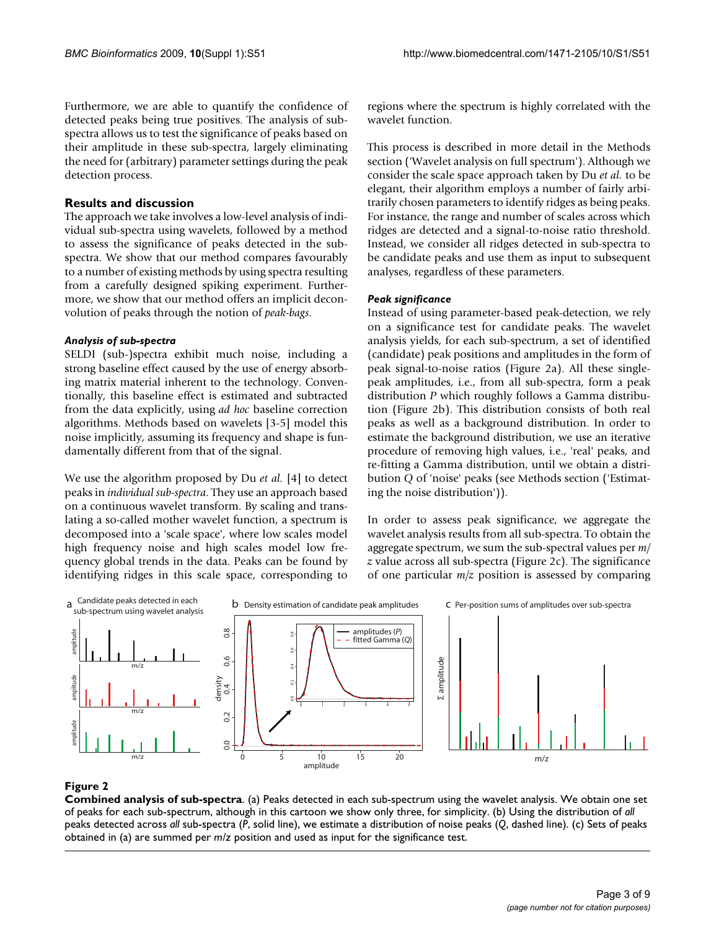Furthermore, we are able to quantify the confidence of detected peaks being true positives. The analysis of subspectra allows us to test the significance of peaks based on their amplitude in these sub-spectra, largely eliminating the need for (arbitrary) parameter settings during the peak detection process.

# **Results and discussion**

The approach we take involves a low-level analysis of individual sub-spectra using wavelets, followed by a method to assess the significance of peaks detected in the subspectra. We show that our method compares favourably to a number of existing methods by using spectra resulting from a carefully designed spiking experiment. Furthermore, we show that our method offers an implicit deconvolution of peaks through the notion of *peak-bags*.

# *Analysis of sub-spectra*

SELDI (sub-)spectra exhibit much noise, including a strong baseline effect caused by the use of energy absorbing matrix material inherent to the technology. Conventionally, this baseline effect is estimated and subtracted from the data explicitly, using *ad hoc* baseline correction algorithms. Methods based on wavelets [3-5] model this noise implicitly, assuming its frequency and shape is fundamentally different from that of the signal.

We use the algorithm proposed by Du *et al.* [4] to detect peaks in *individual sub-spectra*. They use an approach based on a continuous wavelet transform. By scaling and translating a so-called mother wavelet function, a spectrum is decomposed into a 'scale space', where low scales model high frequency noise and high scales model low frequency global trends in the data. Peaks can be found by identifying ridges in this scale space, corresponding to regions where the spectrum is highly correlated with the wavelet function.

This process is described in more detail in the Methods section ('Wavelet analysis on full spectrum'). Although we consider the scale space approach taken by Du *et al.* to be elegant, their algorithm employs a number of fairly arbitrarily chosen parameters to identify ridges as being peaks. For instance, the range and number of scales across which ridges are detected and a signal-to-noise ratio threshold. Instead, we consider all ridges detected in sub-spectra to be candidate peaks and use them as input to subsequent analyses, regardless of these parameters.

## *Peak significance*

Instead of using parameter-based peak-detection, we rely on a significance test for candidate peaks. The wavelet analysis yields, for each sub-spectrum, a set of identified (candidate) peak positions and amplitudes in the form of peak signal-to-noise ratios (Figure 2a). All these singlepeak amplitudes, i.e., from all sub-spectra, form a peak distribution *P* which roughly follows a Gamma distribution (Figure 2b). This distribution consists of both real peaks as well as a background distribution. In order to estimate the background distribution, we use an iterative procedure of removing high values, i.e., 'real' peaks, and re-fitting a Gamma distribution, until we obtain a distribution *Q* of 'noise' peaks (see Methods section ('Estimating the noise distribution')).

In order to assess peak significance, we aggregate the wavelet analysis results from all sub-spectra. To obtain the aggregate spectrum, we sum the sub-spectral values per *m/ z* value across all sub-spectra (Figure 2c). The significance of one particular *m/z* position is assessed by comparing



# **Figure 2**

**Combined analysis of sub-spectra**. (a) Peaks detected in each sub-spectrum using the wavelet analysis. We obtain one set of peaks for each sub-spectrum, although in this cartoon we show only three, for simplicity. (b) Using the distribution of *all*  peaks detected across *all* sub-spectra (*P*, solid line), we estimate a distribution of noise peaks (*Q*, dashed line). (c) Sets of peaks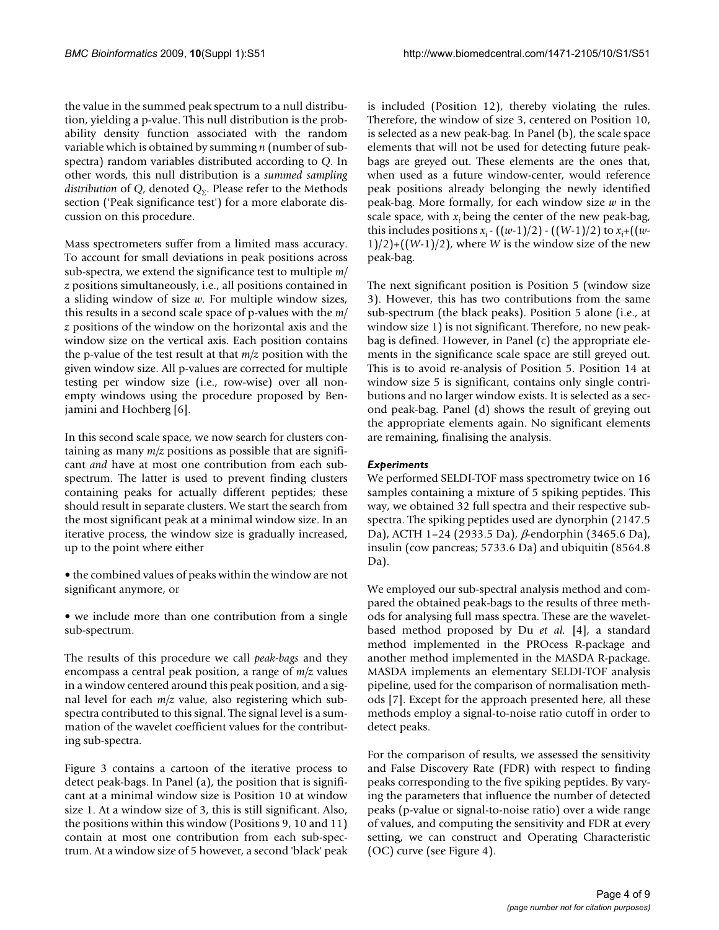the value in the summed peak spectrum to a null distribution, yielding a p-value. This null distribution is the probability density function associated with the random variable which is obtained by summing *n* (number of subspectra) random variables distributed according to *Q*. In other words, this null distribution is a *summed sampling distribution* of *Q*, denoted *Q*<sub>Σ</sub>. Please refer to the Methods section ('Peak significance test') for a more elaborate discussion on this procedure.

Mass spectrometers suffer from a limited mass accuracy. To account for small deviations in peak positions across sub-spectra, we extend the significance test to multiple *m/ z* positions simultaneously, i.e., all positions contained in a sliding window of size *w*. For multiple window sizes, this results in a second scale space of p-values with the *m/ z* positions of the window on the horizontal axis and the window size on the vertical axis. Each position contains the p-value of the test result at that *m/z* position with the given window size. All p-values are corrected for multiple testing per window size (i.e., row-wise) over all nonempty windows using the procedure proposed by Benjamini and Hochberg [6].

In this second scale space, we now search for clusters containing as many *m/z* positions as possible that are significant *and* have at most one contribution from each subspectrum. The latter is used to prevent finding clusters containing peaks for actually different peptides; these should result in separate clusters. We start the search from the most significant peak at a minimal window size. In an iterative process, the window size is gradually increased, up to the point where either

- the combined values of peaks within the window are not significant anymore, or
- we include more than one contribution from a single sub-spectrum.

The results of this procedure we call *peak-bags* and they encompass a central peak position, a range of *m/z* values in a window centered around this peak position, and a signal level for each *m/z* value, also registering which subspectra contributed to this signal. The signal level is a summation of the wavelet coefficient values for the contributing sub-spectra.

Figure 3 contains a cartoon of the iterative process to detect peak-bags. In Panel (a), the position that is significant at a minimal window size is Position 10 at window size 1. At a window size of 3, this is still significant. Also, the positions within this window (Positions 9, 10 and 11) contain at most one contribution from each sub-spectrum. At a window size of 5 however, a second 'black' peak is included (Position 12), thereby violating the rules. Therefore, the window of size 3, centered on Position 10, is selected as a new peak-bag. In Panel (b), the scale space elements that will not be used for detecting future peakbags are greyed out. These elements are the ones that, when used as a future window-center, would reference peak positions already belonging the newly identified peak-bag. More formally, for each window size *w* in the scale space, with  $x_i$  being the center of the new peak-bag, this includes positions  $x_i$  -  $((w-1)/2)$  -  $((W-1)/2)$  to  $x_i$  +  $((w-1)/2)$  $1$ /2)+((*W*-1)/2), where *W* is the window size of the new peak-bag.

The next significant position is Position 5 (window size 3). However, this has two contributions from the same sub-spectrum (the black peaks). Position 5 alone (i.e., at window size 1) is not significant. Therefore, no new peakbag is defined. However, in Panel (c) the appropriate elements in the significance scale space are still greyed out. This is to avoid re-analysis of Position 5. Position 14 at window size 5 is significant, contains only single contributions and no larger window exists. It is selected as a second peak-bag. Panel (d) shows the result of greying out the appropriate elements again. No significant elements are remaining, finalising the analysis.

# *Experiments*

We performed SELDI-TOF mass spectrometry twice on 16 samples containing a mixture of 5 spiking peptides. This way, we obtained 32 full spectra and their respective subspectra. The spiking peptides used are dynorphin (2147.5 Da), ACTH 1–24 (2933.5 Da), β-endorphin (3465.6 Da), insulin (cow pancreas; 5733.6 Da) and ubiquitin (8564.8 Da).

We employed our sub-spectral analysis method and compared the obtained peak-bags to the results of three methods for analysing full mass spectra. These are the waveletbased method proposed by Du *et al.* [4], a standard method implemented in the PROcess R-package and another method implemented in the MASDA R-package. MASDA implements an elementary SELDI-TOF analysis pipeline, used for the comparison of normalisation methods [7]. Except for the approach presented here, all these methods employ a signal-to-noise ratio cutoff in order to detect peaks.

For the comparison of results, we assessed the sensitivity and False Discovery Rate (FDR) with respect to finding peaks corresponding to the five spiking peptides. By varying the parameters that influence the number of detected peaks (p-value or signal-to-noise ratio) over a wide range of values, and computing the sensitivity and FDR at every setting, we can construct and Operating Characteristic (OC) curve (see Figure 4).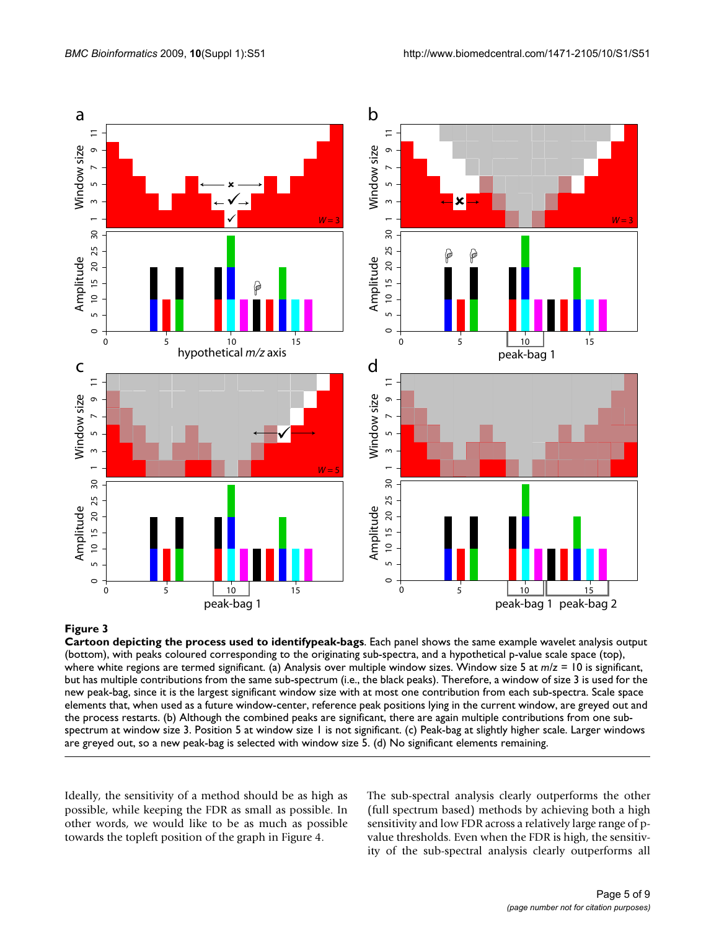

# Figure 3

**Cartoon depicting the process used to identifypeak-bags**. Each panel shows the same example wavelet analysis output (bottom), with peaks coloured corresponding to the originating sub-spectra, and a hypothetical p-value scale space (top), where white regions are termed significant. (a) Analysis over multiple window sizes. Window size 5 at *m/z* = 10 is significant, but has multiple contributions from the same sub-spectrum (i.e., the black peaks). Therefore, a window of size 3 is used for the new peak-bag, since it is the largest significant window size with at most one contribution from each sub-spectra. Scale space elements that, when used as a future window-center, reference peak positions lying in the current window, are greyed out and the process restarts. (b) Although the combined peaks are significant, there are again multiple contributions from one subspectrum at window size 3. Position 5 at window size 1 is not significant. (c) Peak-bag at slightly higher scale. Larger windows

Ideally, the sensitivity of a method should be as high as possible, while keeping the FDR as small as possible. In other words, we would like to be as much as possible towards the topleft position of the graph in Figure 4.

The sub-spectral analysis clearly outperforms the other (full spectrum based) methods by achieving both a high sensitivity and low FDR across a relatively large range of pvalue thresholds. Even when the FDR is high, the sensitivity of the sub-spectral analysis clearly outperforms all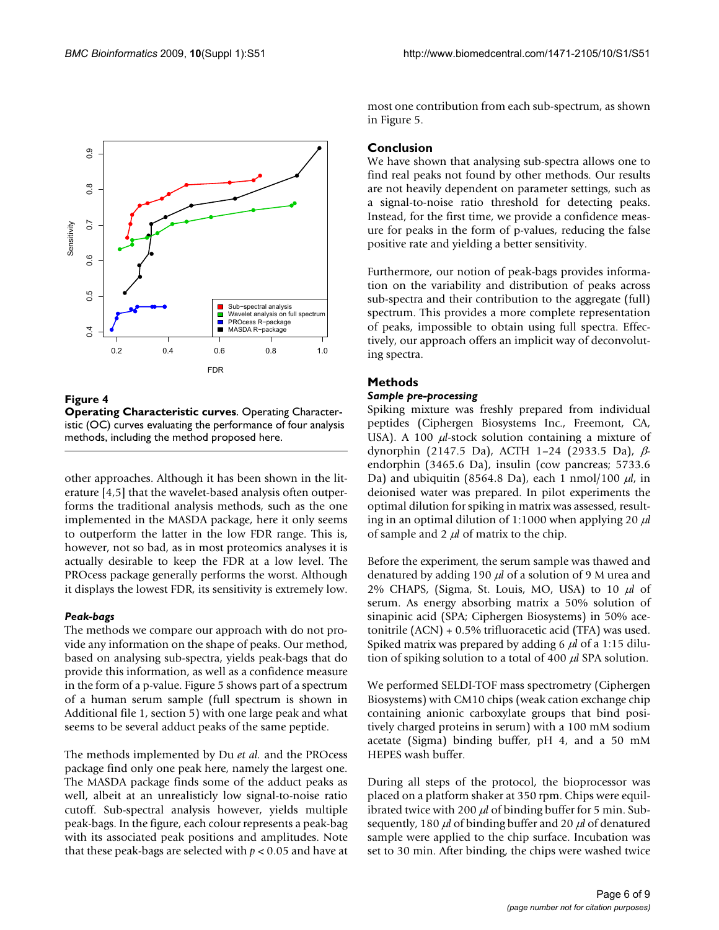

## **Figure 4**

**Operating Characteristic curves**. Operating Characteristic (OC) curves evaluating the performance of four analysis methods, including the method proposed here.

other approaches. Although it has been shown in the literature [4,5] that the wavelet-based analysis often outperforms the traditional analysis methods, such as the one implemented in the MASDA package, here it only seems to outperform the latter in the low FDR range. This is, however, not so bad, as in most proteomics analyses it is actually desirable to keep the FDR at a low level. The PROcess package generally performs the worst. Although it displays the lowest FDR, its sensitivity is extremely low.

#### *Peak-bags*

The methods we compare our approach with do not provide any information on the shape of peaks. Our method, based on analysing sub-spectra, yields peak-bags that do provide this information, as well as a confidence measure in the form of a p-value. Figure 5 shows part of a spectrum of a human serum sample (full spectrum is shown in Additional file 1, section 5) with one large peak and what seems to be several adduct peaks of the same peptide.

The methods implemented by Du *et al.* and the PROcess package find only one peak here, namely the largest one. The MASDA package finds some of the adduct peaks as well, albeit at an unrealisticly low signal-to-noise ratio cutoff. Sub-spectral analysis however, yields multiple peak-bags. In the figure, each colour represents a peak-bag with its associated peak positions and amplitudes. Note that these peak-bags are selected with  $p < 0.05$  and have at most one contribution from each sub-spectrum, as shown in Figure 5.

## **Conclusion**

We have shown that analysing sub-spectra allows one to find real peaks not found by other methods. Our results are not heavily dependent on parameter settings, such as a signal-to-noise ratio threshold for detecting peaks. Instead, for the first time, we provide a confidence measure for peaks in the form of p-values, reducing the false positive rate and yielding a better sensitivity.

Furthermore, our notion of peak-bags provides information on the variability and distribution of peaks across sub-spectra and their contribution to the aggregate (full) spectrum. This provides a more complete representation of peaks, impossible to obtain using full spectra. Effectively, our approach offers an implicit way of deconvoluting spectra.

# **Methods**

### *Sample pre-processing*

Spiking mixture was freshly prepared from individual peptides (Ciphergen Biosystems Inc., Freemont, CA, USA). A 100 μ*l*-stock solution containing a mixture of dynorphin (2147.5 Da), ACTH 1–24 (2933.5 Da), βendorphin (3465.6 Da), insulin (cow pancreas; 5733.6 Da) and ubiquitin (8564.8 Da), each 1 nmol/100 μ*l*, in deionised water was prepared. In pilot experiments the optimal dilution for spiking in matrix was assessed, resulting in an optimal dilution of 1:1000 when applying 20 μ*l* of sample and 2 μ*l* of matrix to the chip.

Before the experiment, the serum sample was thawed and denatured by adding 190 μ*l* of a solution of 9 M urea and 2% CHAPS, (Sigma, St. Louis, MO, USA) to 10 μ*l* of serum. As energy absorbing matrix a 50% solution of sinapinic acid (SPA; Ciphergen Biosystems) in 50% acetonitrile (ACN) + 0.5% trifluoracetic acid (TFA) was used. Spiked matrix was prepared by adding 6 μ*l* of a 1:15 dilution of spiking solution to a total of 400 μ*l* SPA solution.

We performed SELDI-TOF mass spectrometry (Ciphergen Biosystems) with CM10 chips (weak cation exchange chip containing anionic carboxylate groups that bind positively charged proteins in serum) with a 100 mM sodium acetate (Sigma) binding buffer, pH 4, and a 50 mM HEPES wash buffer.

During all steps of the protocol, the bioprocessor was placed on a platform shaker at 350 rpm. Chips were equilibrated twice with 200 μ*l* of binding buffer for 5 min. Subsequently, 180 μ*l* of binding buffer and 20 μ*l* of denatured sample were applied to the chip surface. Incubation was set to 30 min. After binding, the chips were washed twice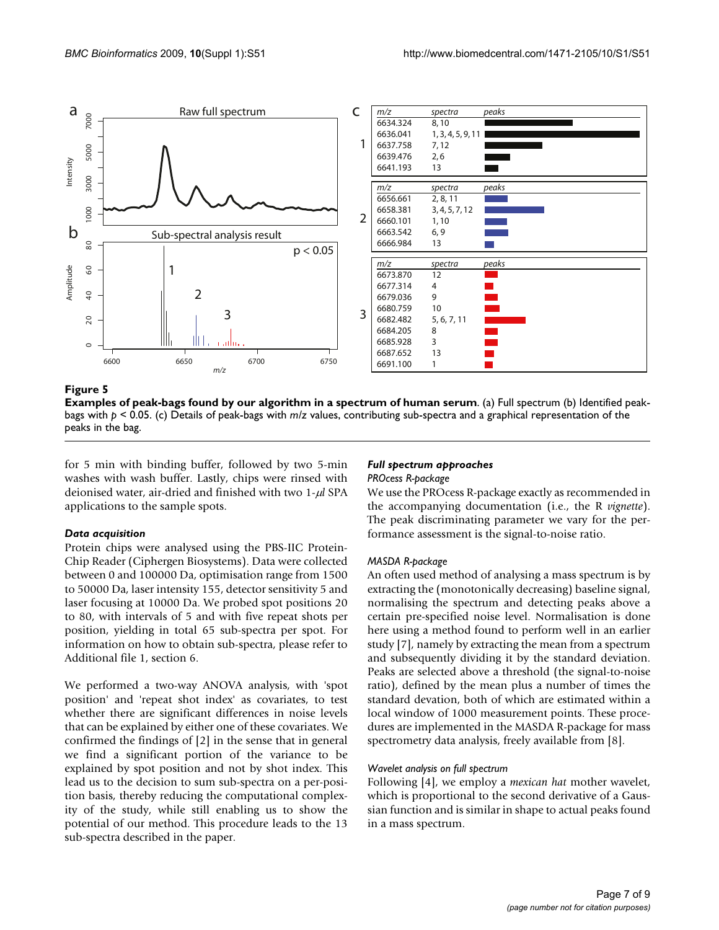

Examples of peak-bags found by our al **Figure 5** gorithm in a spectrum of human serum

**Examples of peak-bags found by our algorithm in a spectrum of human serum**. (a) Full spectrum (b) Identified peakbags with *p* < 0.05. (c) Details of peak-bags with *m/z* values, contributing sub-spectra and a graphical representation of the peaks in the bag.

for 5 min with binding buffer, followed by two 5-min washes with wash buffer. Lastly, chips were rinsed with deionised water, air-dried and finished with two 1-μ*l* SPA applications to the sample spots.

#### *Data acquisition*

Protein chips were analysed using the PBS-IIC Protein-Chip Reader (Ciphergen Biosystems). Data were collected between 0 and 100000 Da, optimisation range from 1500 to 50000 Da, laser intensity 155, detector sensitivity 5 and laser focusing at 10000 Da. We probed spot positions 20 to 80, with intervals of 5 and with five repeat shots per position, yielding in total 65 sub-spectra per spot. For information on how to obtain sub-spectra, please refer to Additional file 1, section 6.

We performed a two-way ANOVA analysis, with 'spot position' and 'repeat shot index' as covariates, to test whether there are significant differences in noise levels that can be explained by either one of these covariates. We confirmed the findings of [2] in the sense that in general we find a significant portion of the variance to be explained by spot position and not by shot index. This lead us to the decision to sum sub-spectra on a per-position basis, thereby reducing the computational complexity of the study, while still enabling us to show the potential of our method. This procedure leads to the 13 sub-spectra described in the paper.

# *Full spectrum approaches*

# *PROcess R-package*

We use the PROcess R-package exactly as recommended in the accompanying documentation (i.e., the R *vignette*). The peak discriminating parameter we vary for the performance assessment is the signal-to-noise ratio.

#### *MASDA R-package*

An often used method of analysing a mass spectrum is by extracting the (monotonically decreasing) baseline signal, normalising the spectrum and detecting peaks above a certain pre-specified noise level. Normalisation is done here using a method found to perform well in an earlier study [7], namely by extracting the mean from a spectrum and subsequently dividing it by the standard deviation. Peaks are selected above a threshold (the signal-to-noise ratio), defined by the mean plus a number of times the standard devation, both of which are estimated within a local window of 1000 measurement points. These procedures are implemented in the MASDA R-package for mass spectrometry data analysis, freely available from [8].

#### *Wavelet analysis on full spectrum*

Following [4], we employ a *mexican hat* mother wavelet, which is proportional to the second derivative of a Gaussian function and is similar in shape to actual peaks found in a mass spectrum.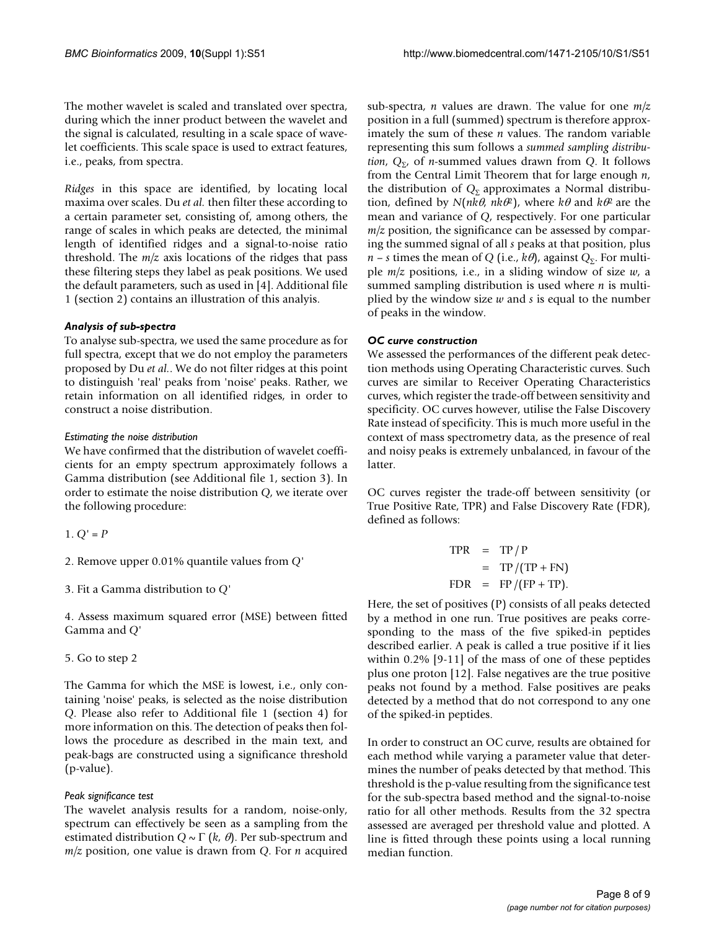The mother wavelet is scaled and translated over spectra, during which the inner product between the wavelet and the signal is calculated, resulting in a scale space of wavelet coefficients. This scale space is used to extract features, i.e., peaks, from spectra.

*Ridges* in this space are identified, by locating local maxima over scales. Du *et al.* then filter these according to a certain parameter set, consisting of, among others, the range of scales in which peaks are detected, the minimal length of identified ridges and a signal-to-noise ratio threshold. The *m/z* axis locations of the ridges that pass these filtering steps they label as peak positions. We used the default parameters, such as used in [4]. Additional file 1 (section 2) contains an illustration of this analyis.

# *Analysis of sub-spectra*

To analyse sub-spectra, we used the same procedure as for full spectra, except that we do not employ the parameters proposed by Du *et al.*. We do not filter ridges at this point to distinguish 'real' peaks from 'noise' peaks. Rather, we retain information on all identified ridges, in order to construct a noise distribution.

# *Estimating the noise distribution*

We have confirmed that the distribution of wavelet coefficients for an empty spectrum approximately follows a Gamma distribution (see Additional file 1, section 3). In order to estimate the noise distribution *Q*, we iterate over the following procedure:

1.  $Q' = P$ 

2. Remove upper 0.01% quantile values from *Q'*

3. Fit a Gamma distribution to *Q'*

4. Assess maximum squared error (MSE) between fitted Gamma and *Q'*

5. Go to step 2

The Gamma for which the MSE is lowest, i.e., only containing 'noise' peaks, is selected as the noise distribution *Q*. Please also refer to Additional file 1 (section 4) for more information on this. The detection of peaks then follows the procedure as described in the main text, and peak-bags are constructed using a significance threshold (p-value).

# *Peak significance test*

The wavelet analysis results for a random, noise-only, spectrum can effectively be seen as a sampling from the estimated distribution  $Q \sim \Gamma$  (*k*,  $\theta$ ). Per sub-spectrum and *m/z* position, one value is drawn from *Q*. For *n* acquired

sub-spectra, *n* values are drawn. The value for one *m/z* position in a full (summed) spectrum is therefore approximately the sum of these *n* values. The random variable representing this sum follows a *summed sampling distribution*, *Q*Σ, of *n*-summed values drawn from *Q*. It follows from the Central Limit Theorem that for large enough *n*, the distribution of *Q*<sub>Σ</sub> approximates a Normal distribution, defined by *N*( $nk\theta$ ,  $nk\theta$ ), where  $k\theta$  and  $k\theta$  are the mean and variance of *Q*, respectively. For one particular *m/z* position, the significance can be assessed by comparing the summed signal of all *s* peaks at that position, plus *n* – *s* times the mean of *Q* (i.e.,  $k\theta$ ), against  $Q_{\Sigma}$ . For multiple *m/z* positions, i.e., in a sliding window of size *w*, a summed sampling distribution is used where *n* is multiplied by the window size *w* and *s* is equal to the number of peaks in the window.

# *OC curve construction*

We assessed the performances of the different peak detection methods using Operating Characteristic curves. Such curves are similar to Receiver Operating Characteristics curves, which register the trade-off between sensitivity and specificity. OC curves however, utilise the False Discovery Rate instead of specificity. This is much more useful in the context of mass spectrometry data, as the presence of real and noisy peaks is extremely unbalanced, in favour of the latter.

OC curves register the trade-off between sensitivity (or True Positive Rate, TPR) and False Discovery Rate (FDR), defined as follows:

$$
TPR = TP/P
$$
  
= TP/(TP + FN)  

$$
FDR = FP/(FP + TP).
$$

Here, the set of positives (P) consists of all peaks detected by a method in one run. True positives are peaks corresponding to the mass of the five spiked-in peptides described earlier. A peak is called a true positive if it lies within 0.2% [9-11] of the mass of one of these peptides plus one proton [12]. False negatives are the true positive peaks not found by a method. False positives are peaks detected by a method that do not correspond to any one of the spiked-in peptides.

In order to construct an OC curve, results are obtained for each method while varying a parameter value that determines the number of peaks detected by that method. This threshold is the p-value resulting from the significance test for the sub-spectra based method and the signal-to-noise ratio for all other methods. Results from the 32 spectra assessed are averaged per threshold value and plotted. A line is fitted through these points using a local running median function.